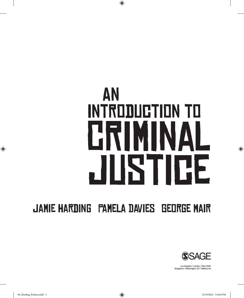# CRIMINAL STICE Introduction to An

## Jamie Harding Pamela Davies George Mair



Los Angeles | London | New Delhi Singapore | Washington DC | Melbourne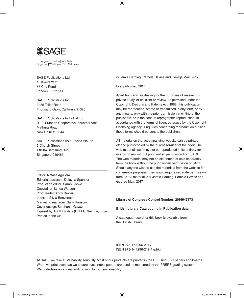

Los Angeles | London | New Delhi Singapore | Washington DC | Melbourne

SAGE Publications Ltd 1 Oliver's Yard 55 City Road London EC1Y 1SP

SAGE Publications Inc. 2455 Teller Road Thousand Oaks, California 91320

SAGE Publications India Pvt Ltd B 1/I 1 Mohan Cooperative Industrial Area Mathura Road New Delhi 110 044

SAGE Publications Asia-Pacific Pte Ltd 3 Church Street #10-04 Samsung Hub Singapore 049483

Editor: Natalie Aguilera Editorial assistant: Delayna Spencer Production editor: Sarah Cooke Copyeditor: Lynda Watson Proofreader: Andy Baxter Indexer: Silvia Benvenuto Marketing manager: Sally Ransom Cover design: Stephanie Guyaz Typeset by: C&M Digitals (P) Ltd, Chennai, India Printed in the UK

Jamie Harding, Pamela Davies and George Mair, 2017

First published 2017

Apart from any fair dealing for the purposes of research or private study, or criticism or review, as permitted under the Copyright, Designs and Patents Act, 1988, this publication may be reproduced, stored or transmitted in any form, or by any means, only with the prior permission in writing of the publishers, or in the case of reprographic reproduction, in accordance with the terms of licences issued by the Copyright Licensing Agency. Enquiries concerning reproduction outside those terms should be sent to the publishers.

All material on the accompanying website can be printed off and photocopied by the purchaser/user of the book. The web material itself may not be reproduced in its entirety for use by others without prior written permission from SAGE. The web material may not be distributed or sold separately from the book without the prior written permission of SAGE. Should anyone wish to use the materials from the website for conference purposes, they would require separate permission from us. All material is © Jamie Harding, Pamela Davies and George Mair, 2017

#### **Library of Congress Control Number: 2016947173**

#### **British Library Cataloguing in Publication data**

A catalogue record for this book is available from the British Library

ISBN 978-1-41296-211-7 ISBN 978-1-41296-212-4 (pbk)

At SAGE we take sustainability seriously. Most of our products are printed in the UK using FSC papers and boards. When we print overseas we ensure sustainable papers are used as measured by the PREPS grading system. We undertake an annual audit to monitor our sustainability.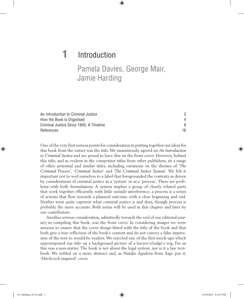### 1 Introduction

Pamela Davies, George Mair, Jamie Harding

| An Introduction to Criminal Justice     |    |
|-----------------------------------------|----|
| How the Book is Organised               |    |
| Criminal Justice Since 1945: A Timeline | 6  |
| References                              | 16 |

One of the very first serious points for consideration in putting together our ideas for this book from the outset was the title. We unanimously agreed on *An Introduction to Criminal Justice* and are proud to have this on the front cover. However, behind this title, and as evident in the competitor titles from other publishers, sit a range of other potential and similar titles, including variations on the themes of '*The Criminal Process*', '*Criminal Justice*' and '*The Criminal Justice System*'. We felt it important not to wed ourselves to a label that foregrounded the contents as driven by considerations of criminal justice as a 'system' or as a 'process'. There are problems with both formulations. A system implies a group of closely related parts that work together efficiently with little outside interference; a process is a series of actions that flow towards a planned outcome with a clear beginning and end. Neither term quite captures what criminal justice is and does, though process is probably the more accurate. Both terms will be used in this chapter and later by our contributors.

Another serious consideration, admittedly towards the end of our editorial journey in compiling this book, was the front cover. In considering images we were anxious to ensure that the cover design fitted with the title of the book and that both give a true reflection of the book's content and do not convey a false impression of the text to would-be readers. We rejected one of the first mock-ups which superimposed our title on a background picture of a lawyer's/judge's wig. For us this was a non-starter. The book is not about the legal system, nor is it a law textbook. We settled on a more abstract and, as Natalie Aguilera from Sage put it, 'Hitchcock-inspired' cover.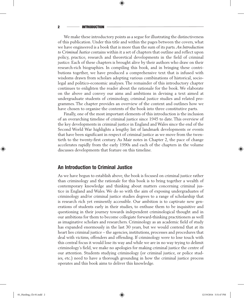We make these introductory points as a segue for illustrating the distinctiveness of this publication. Under this title and within the pages between the covers, what we have engineered is a book that is more than the sum of its parts. *An Introduction to Criminal Justice* contains within it a set of chapters that outline and reflect upon policy, practice, research and theoretical developments in the field of criminal justice. Each of these chapters is brought alive by their authors who draw on their research-rich biographies. In compiling this book, and in bringing these contributions together, we have produced a comprehensive text that is infused with wisdoms drawn from scholars adopting various combinations of historical, sociolegal and politico-economic analyses. The remainder of this introductory chapter continues to enlighten the reader about the rationale for the book. We elaborate on the above and convey our aims and ambitions in devising a text aimed at undergraduate students of criminology, criminal justice studies and related programmes. The chapter provides an overview of the content and outlines how we have chosen to organise the contents of the book into three constitutive parts.

Finally, one of the most important elements of this introduction is the inclusion of an overarching timeline of criminal justice since 1945 to date. This overview of the key developments in criminal justice in England and Wales since the end of the Second World War highlights a lengthy list of landmark developments or events that have been significant in respect of criminal justice as we move from the twentieth to the twenty-first century. As Mair notes in Chapter 2, the pace of change accelerates rapidly from the early 1990s and each of the chapters in the volume discusses developments that feature on this timeline.

#### An Introduction to Criminal Justice

As we have begun to establish above, the book is focused on criminal justice rather than criminology and the rationale for this book is to bring together a wealth of contemporary knowledge and thinking about matters concerning criminal justice in England and Wales. We do so with the aim of exposing undergraduates of criminology and/or criminal justice studies degrees to a range of scholarship that is research rich yet eminently accessible. Our ambition is to captivate new generations of students early in their studies, to enthuse them to be inquisitive and questioning in their journey towards independent criminological thought and in our ambitions for them to become collegiate forward-thinking practitioners as well as imaginative scholars and researchers. Criminology as an academic field of study has expanded enormously in the last 30 years, but we would contend that at its heart lies criminal justice – the agencies, institutions, processes and procedures that deal with victims, offenders and offending. If criminology were to lose touch with this central focus it would lose its way and while we are in no way trying to delimit criminology's field, we make no apologies for making criminal justice the centre of our attention. Students studying criminology (or criminal justice, or police studies, etc.) need to have a thorough grounding in how the criminal justice process operates and this book aims to deliver this knowledge.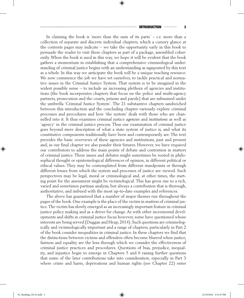In claiming the book is 'more than the sum of its parts' – i.e. more than a collection of separate and discrete individual chapters, which a cursory glance at the contents pages may indicate – we take the opportunity early in this book to persuade the reader to visit these chapters as part of a package, assembled coherently. When the book is used in this way, we hope it will be evident that the book gathers a momentum in establishing that a comprehensive criminological understanding of criminal justice begins with an understanding as signposted by this text as a whole. In this way we anticipate the book will be a unique teaching resource. We now commence the job we have set ourselves, to tackle practical and normative issues in the Criminal Justice System. That system is to be imagined in the widest possible sense – to include an increasing plethora of agencies and institutions (the book incorporates chapters that focus on the police and multi-agency partners, prosecution and the courts, prisons and parole) that are subsumed under the umbrella 'Criminal Justice System'. The 21 substantive chapters sandwiched between this introduction and the concluding chapter variously explore criminal processes and procedures and how 'the system' deals with those who are channelled into it. It thus examines criminal justice *agencies* and *institutions* as well as 'agency' in the criminal justice process. Thus our examination of criminal justice goes beyond mere description of what a state system of justice is, and what its constitutive components traditionally have been and contemporarily are. The text provides the basic overviews of these agencies and institutions, past and present and, in our final chapter we also ponder their futures. However, we have required our contributors to address the main points of debate and contention in matters of criminal justice. These issues and debates might sometimes be rooted in philosophical thought or epistemological differences of opinion, in different political or ethical values. They may be contemplated from different standpoints or through different lenses from which the system and processes of justice are viewed. Such perspectives may be legal, moral or criminological and, at other times, the starting point for the assessment might be victimological. This has given rise to a rich, varied and sometimes partisan analysis, but always a contribution that is thorough, authoritative, and imbued with the most up-to-date examples and references.

The above has guaranteed that a number of major themes run throughout the pages of the book. One example is the place of the victim in matters of criminal justice. The victim has slowly emerged as an increasingly important feature in criminal justice policy making and as a driver for change. As with other incremental developments and shifts in criminal justice focus however, some have questioned whose interests are being served (Duggan and Heap, 2014). Such questions are criminologically and victimologically important and a range of chapters, particularly in Part 2 of the book consider inequalities in criminal justice. In these chapters we find that the distinctions between victims and offenders often become blurred when justice, fairness and equality are the lens through which we consider the effectiveness of criminal justice practices and procedures. Questions of bias, prejudice, inequality, and injustice begin to emerge in Chapters 5 and 6 raising further questions that some of the later contributions take into consideration, especially in Part 3 where crime and harm, deprivations and human rights (see Chapter 22) enter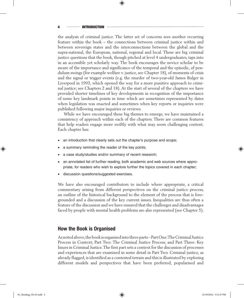the analysis of criminal justice. The latter set of concerns sees another recurring feature within the book – the connections between criminal justice within and between sovereign states and the interconnections between the global and the supra-national, the European, national, regional and local. These are big criminal justice questions that the book, though pitched at level 4 undergraduates, taps into in an accessible yet scholarly way. The book encourages the novice scholar to be aware of the importance and significance of the temporal and the episodic, of pendulum swings (for example welfare v. justice, see Chapter 18), of moments of crisis and the signal or trigger events (e.g. the murder of two-year-old James Bulger in Liverpool in 1993, which opened the way for a more punitive approach to criminal justice; see Chapters 2 and 18). At the start of several of the chapters we have provided shorter timelines of key developments in recognition of the importance of some key landmark points in time which are sometimes represented by dates when legislation was enacted and sometimes when key reports or inquiries were published following major inquiries or reviews.

While we have encouraged these big themes to emerge, we have maintained a consistency of approach within each of the chapters. There are common features that help readers engage more swiftly with what may seem challenging content. Each chapter has:

- an introduction that clearly sets out the chapter's purpose and scope;
- a summary reminding the reader of the key points;
- a case study/studies and/or summary of recent research;
- an annotated list of further reading, both academic and web sources where appropriate, for readers who wish to explore further the topics covered in each chapter;
- discussion questions/suggested exercises.

We have also encouraged contributors to include where appropriate, a critical commentary arising from different perspectives on the criminal justice process, an outline of the historical background to the element of the process that is foregrounded and a discussion of the key current issues. Inequalities are thus often a feature of the discussion and we have ensured that the challenges and disadvantages faced by people with mental health problems are also represented (see Chapter 5).

#### How the Book is Organised

As noted above, the book is organised into three parts – Part One: The Criminal Justice Process in Context; Part Two: The Criminal Justice Process; and Part Three: Key Issues in Criminal Justice. The first part sets a context for the discussion of processes and experiences that are examined in some detail in Part Two. Criminal justice, as already flagged, is identified as a contested terrain and this is illustrated by exploring different models and perspectives that have been preferred, popularised and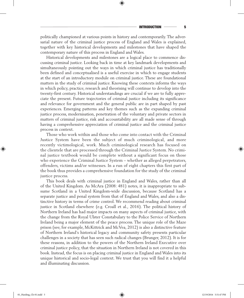politically championed at various points in history and contemporarily. The adversarial nature of the criminal justice process of England and Wales is explained, together with key historical developments and milestones that have shaped the contemporary nature of this process in England and Wales.

Historical developments and milestones are a logical place to commence discussing criminal justice. Looking back in time at key landmark developments and simultaneously pointing out the ways in which criminal justice has traditionally been defined and conceptualised is a useful exercise in which to engage students at the start of an introductory module on criminal justice. These are foundational matters in the study of criminal justice. Knowing these contexts informs the ways in which policy, practice, research and theorising will continue to develop into the twenty-first century. Historical understandings are crucial if we are to fully appreciate the present. Future trajectories of criminal justice including its significance and relevance for government and the general public are in part shaped by past experiences. Emerging patterns and key themes such as the expanding criminal justice process, modernisation, penetration of the voluntary and private sectors in matters of criminal justice, risk and accountability are all made sense of through having a comprehensive appreciation of criminal justice and the criminal justice process in context.

Those who work within and those who come into contact with the Criminal Justice System have been the subject of much criminological, and more recently victimological, work. Much criminological research has focused on the clientele that are processed through the Criminal Justice System. No criminal justice textbook would be complete without a significant focus on those who experience the Criminal Justice System – whether as alleged perpetrators, offenders, victims and/or witnesses. In a run of eight chapters this first part of the book thus provides a comprehensive foundation for the study of the criminal justice process.

This book deals with criminal justice in England and Wales, rather than all of the United Kingdom. As McAra (2008: 481) notes, it is inappropriate to subsume Scotland in a United Kingdom-wide discussion, because Scotland has a separate justice and penal system from that of England and Wales, and also a distinctive history in terms of crime control. We recommend reading about criminal justice in Scotland elsewhere (e.g. Croall et al., 2016). The political history of Northern Ireland has had major impacts on many aspects of criminal justice, with the change from the Royal Ulster Constabulary to the Police Service of Northern Ireland being a major element of the peace process. The unique role of the Maze prison (see, for example, McKittrick and McVea, 2012) is also a distinctive feature of Northern Ireland's historical legacy and community safety presents particular challenges in a society that has seen such radical changes (Brunger, 2012). It is for these reasons, in addition to the powers of the Northern Ireland Executive over criminal justice policy, that the situation in Northern Ireland is not covered in this book. Instead, the focus is on placing criminal justice in England and Wales into its unique historical and socio-legal context. We trust that you will find it a helpful and illuminating discussion.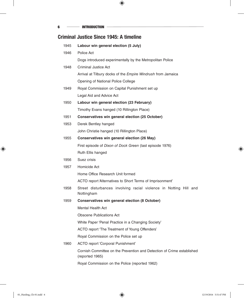|      | Criminal Justice Since 1945: A timeline                                                   |
|------|-------------------------------------------------------------------------------------------|
| 1945 | Labour win general election (5 July)                                                      |
| 1946 | Police Act                                                                                |
|      | Dogs introduced experimentally by the Metropolitan Police                                 |
| 1948 | <b>Criminal Justice Act</b>                                                               |
|      | Arrival at Tilbury docks of the Empire Windrush from Jamaica                              |
|      | Opening of National Police College                                                        |
| 1949 | Royal Commission on Capital Punishment set up                                             |
|      | Legal Aid and Advice Act                                                                  |
| 1950 | Labour win general election (23 February)                                                 |
|      | Timothy Evans hanged (10 Rillington Place)                                                |
| 1951 | Conservatives win general election (25 October)                                           |
| 1953 | Derek Bentley hanged                                                                      |
|      | John Christie hanged (10 Rillington Place)                                                |
| 1955 | Conservatives win general election (26 May)                                               |
|      | First episode of Dixon of Dock Green (last episode 1976)                                  |
|      | Ruth Ellis hanged                                                                         |
| 1956 | Suez crisis                                                                               |
| 1957 | Homicide Act                                                                              |
|      | Home Office Research Unit formed                                                          |
|      | ACTO report 'Alternatives to Short Terms of Imprisonment'                                 |
| 1958 | Street disturbances involving racial violence in Notting Hill and<br>Nottingham           |
| 1959 | Conservatives win general election (8 October)                                            |
|      | <b>Mental Health Act</b>                                                                  |
|      | <b>Obscene Publications Act</b>                                                           |
|      | White Paper 'Penal Practice in a Changing Society'                                        |
|      | ACTO report 'The Treatment of Young Offenders'                                            |
|      | Royal Commission on the Police set up                                                     |
| 1960 | ACTO report 'Corporal Punishment'                                                         |
|      | Cornish Committee on the Prevention and Detection of Crime established<br>(reported 1965) |
|      | Royal Commission on the Police (reported 1962)                                            |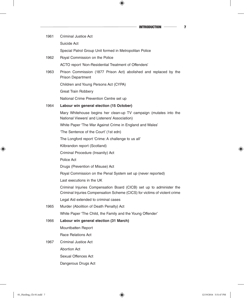| 1961 | Criminal Justice Act                                                                                                                              |
|------|---------------------------------------------------------------------------------------------------------------------------------------------------|
|      | Suicide Act                                                                                                                                       |
|      | Special Patrol Group Unit formed in Metropolitan Police                                                                                           |
| 1962 | Royal Commission on the Police                                                                                                                    |
|      | ACTO report 'Non-Residential Treatment of Offenders'                                                                                              |
| 1963 | Prison Commission (1877 Prison Act) abolished and replaced by the<br><b>Prison Department</b>                                                     |
|      | Children and Young Persons Act (CYPA)                                                                                                             |
|      | <b>Great Train Robbery</b>                                                                                                                        |
|      | National Crime Prevention Centre set up                                                                                                           |
| 1964 | Labour win general election (15 October)                                                                                                          |
|      | Mary Whitehouse begins her clean-up TV campaign (mutates into the<br>National Viewers' and Listeners' Association)                                |
|      | White Paper 'The War Against Crime in England and Wales'                                                                                          |
|      | 'The Sentence of the Court' (1st edn)                                                                                                             |
|      | The Longford report 'Crime: A challenge to us all'                                                                                                |
|      | Kilbrandon report (Scotland)                                                                                                                      |
|      | Criminal Procedure (Insanity) Act                                                                                                                 |
|      | Police Act                                                                                                                                        |
|      | Drugs (Prevention of Misuse) Act                                                                                                                  |
|      | Royal Commission on the Penal System set up (never reported)                                                                                      |
|      | Last executions in the UK                                                                                                                         |
|      | Criminal Injuries Compensation Board (CICB) set up to administer the<br>Criminal Injuries Compensation Scheme (CICS) for victims of violent crime |
|      | Legal Aid extended to criminal cases                                                                                                              |
| 1965 | Murder (Abolition of Death Penalty) Act                                                                                                           |
|      | White Paper 'The Child, the Family and the Young Offender'                                                                                        |
| 1966 | Labour win general election (31 March)                                                                                                            |
|      | Mountbatten Report                                                                                                                                |
|      | <b>Race Relations Act</b>                                                                                                                         |
| 1967 | <b>Criminal Justice Act</b>                                                                                                                       |
|      | <b>Abortion Act</b>                                                                                                                               |
|      | Sexual Offences Act                                                                                                                               |
|      | Dangerous Drugs Act                                                                                                                               |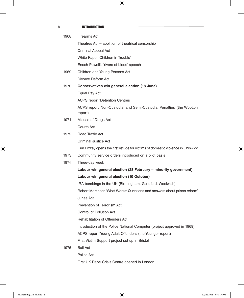| 8 |      | <b>INTRODUCTION</b>                                                              |
|---|------|----------------------------------------------------------------------------------|
|   |      |                                                                                  |
|   | 1968 | <b>Firearms Act</b>                                                              |
|   |      | Theatres Act - abolition of theatrical censorship                                |
|   |      | Criminal Appeal Act                                                              |
|   |      | White Paper 'Children in Trouble'                                                |
|   |      | Enoch Powell's 'rivers of blood' speech                                          |
|   | 1969 | Children and Young Persons Act                                                   |
|   |      | Divorce Reform Act                                                               |
|   | 1970 | Conservatives win general election (18 June)                                     |
|   |      | Equal Pay Act                                                                    |
|   |      | ACPS report 'Detention Centres'                                                  |
|   |      | ACPS report 'Non-Custodial and Semi-Custodial Penalties' (the Wootton<br>report) |
|   | 1971 | Misuse of Drugs Act                                                              |
|   |      | Courts Act                                                                       |
|   | 1972 | Road Traffic Act                                                                 |
|   |      | <b>Criminal Justice Act</b>                                                      |
|   |      | Erin Pizzey opens the first refuge for victims of domestic violence in Chiswick  |
|   | 1973 | Community service orders introduced on a pilot basis                             |
|   | 1974 | Three-day week                                                                   |
|   |      | Labour win general election (28 February - minority government)                  |
|   |      | Labour win general election (10 October)                                         |
|   |      | IRA bombings in the UK (Birmingham, Guildford, Woolwich)                         |
|   |      | Robert Martinson 'What Works: Questions and answers about prison reform'         |
|   |      | Juries Act                                                                       |
|   |      | Prevention of Terrorism Act                                                      |
|   |      | Control of Pollution Act                                                         |
|   |      | Rehabilitation of Offenders Act                                                  |
|   |      | Introduction of the Police National Computer (project approved in 1969)          |
|   |      | ACPS report 'Young Adult Offenders' (the Younger report)                         |
|   |      | First Victim Support project set up in Bristol                                   |
|   | 1976 | <b>Bail Act</b>                                                                  |
|   |      |                                                                                  |

Police Act

First UK Rape Crisis Centre opened in London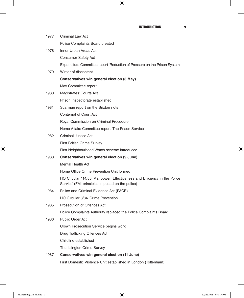| 1977 | Criminal Law Act                                                                                                            |
|------|-----------------------------------------------------------------------------------------------------------------------------|
|      | Police Complaints Board created                                                                                             |
| 1978 | Inner Urban Areas Act                                                                                                       |
|      | <b>Consumer Safety Act</b>                                                                                                  |
|      | Expenditure Committee report 'Reduction of Pressure on the Prison System'                                                   |
| 1979 | Winter of discontent                                                                                                        |
|      | Conservatives win general election (3 May)                                                                                  |
|      | May Committee report                                                                                                        |
| 1980 | Magistrates' Courts Act                                                                                                     |
|      | Prison Inspectorate established                                                                                             |
| 1981 | Scarman report on the Brixton riots                                                                                         |
|      | Contempt of Court Act                                                                                                       |
|      | Royal Commission on Criminal Procedure                                                                                      |
|      | Home Affairs Committee report 'The Prison Service'                                                                          |
| 1982 | <b>Criminal Justice Act</b>                                                                                                 |
|      | <b>First British Crime Survey</b>                                                                                           |
|      | First Neighbourhood Watch scheme introduced                                                                                 |
| 1983 | Conservatives win general election (9 June)                                                                                 |
|      | Mental Health Act                                                                                                           |
|      | Home Office Crime Prevention Unit formed                                                                                    |
|      | HO Circular 114/83 'Manpower, Effectiveness and Efficiency in the Police<br>Service' (FMI principles imposed on the police) |
| 1984 | Police and Criminal Evidence Act (PACE)                                                                                     |
|      | HO Circular 8/84 'Crime Prevention'                                                                                         |
| 1985 | Prosecution of Offences Act                                                                                                 |
|      | Police Complaints Authority replaced the Police Complaints Board                                                            |
| 1986 | <b>Public Order Act</b>                                                                                                     |
|      | Crown Prosecution Service begins work                                                                                       |
|      | Drug Trafficking Offences Act                                                                                               |
|      | Childline established                                                                                                       |
|      | The Islington Crime Survey                                                                                                  |
| 1987 | Conservatives win general election (11 June)                                                                                |
|      |                                                                                                                             |

First Domestic Violence Unit established in London (Tottenham)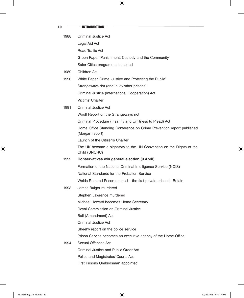| 10 |      | <b>INTRODUCTION</b>                                                                     |
|----|------|-----------------------------------------------------------------------------------------|
|    |      |                                                                                         |
|    | 1988 | Criminal Justice Act                                                                    |
|    |      | Legal Aid Act                                                                           |
|    |      | Road Traffic Act                                                                        |
|    |      | Green Paper 'Punishment, Custody and the Community'                                     |
|    |      | Safer Cities programme launched                                                         |
|    | 1989 | Children Act                                                                            |
|    | 1990 | White Paper 'Crime, Justice and Protecting the Public'                                  |
|    |      | Strangeways riot (and in 25 other prisons)                                              |
|    |      | Criminal Justice (International Cooperation) Act                                        |
|    |      | Victims' Charter                                                                        |
|    | 1991 | <b>Criminal Justice Act</b>                                                             |
|    |      | Woolf Report on the Strangeways riot                                                    |
|    |      | Criminal Procedure (Insanity and Unfitness to Plead) Act                                |
|    |      | Home Office Standing Conference on Crime Prevention report published<br>(Morgan report) |
|    |      | Launch of the Citizen's Charter                                                         |
|    |      | The UK became a signatory to the UN Convention on the Rights of the<br>Child (UNCRC)    |
|    | 1992 | <b>Conservatives win general election (9 April)</b>                                     |
|    |      | Formation of the National Criminal Intelligence Service (NCIS)                          |
|    |      | National Standards for the Probation Service                                            |
|    |      | Wolds Remand Prison opened - the first private prison in Britain                        |
|    | 1993 | James Bulger murdered                                                                   |
|    |      | Stephen Lawrence murdered                                                               |
|    |      | Michael Howard becomes Home Secretary                                                   |
|    |      | Royal Commission on Criminal Justice                                                    |
|    |      | Bail (Amendment) Act                                                                    |
|    |      | <b>Criminal Justice Act</b>                                                             |
|    |      | Sheehy report on the police service                                                     |
|    |      | Prison Service becomes an executive agency of the Home Office                           |
|    | 1994 | Sexual Offences Act                                                                     |
|    |      | Criminal Justice and Public Order Act                                                   |
|    |      | Police and Magistrates' Courts Act                                                      |
|    |      | First Prisons Ombudsman appointed                                                       |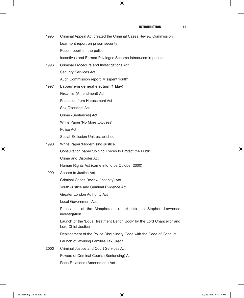| 1995 | Criminal Appeal Act created the Criminal Cases Review Commission                            |
|------|---------------------------------------------------------------------------------------------|
|      | Learmont report on prison security                                                          |
|      | Posen report on the police                                                                  |
|      | Incentives and Earned Privileges Scheme introduced in prisons                               |
| 1996 | Criminal Procedure and Investigations Act                                                   |
|      | <b>Security Services Act</b>                                                                |
|      | Audit Commission report 'Misspent Youth'                                                    |
| 1997 | Labour win general election (1 May)                                                         |
|      | Firearms (Amendment) Act                                                                    |
|      | Protection from Harassment Act                                                              |
|      | Sex Offenders Act                                                                           |
|      | Crime (Sentences) Act                                                                       |
|      | White Paper 'No More Excuses'                                                               |
|      | Police Act                                                                                  |
|      | Social Exclusion Unit established                                                           |
| 1998 | White Paper 'Modernising Justice'                                                           |
|      | Consultation paper 'Joining Forces to Protect the Public'                                   |
|      | Crime and Disorder Act                                                                      |
|      | Human Rights Act (came into force October 2000)                                             |
| 1999 | Access to Justice Act                                                                       |
|      | Criminal Cases Review (Insanity) Act                                                        |
|      | Youth Justice and Criminal Evidence Act                                                     |
|      | Greater London Authority Act                                                                |
|      | Local Government Act                                                                        |
|      | Publication of the Macpherson report into the Stephen Lawrence<br>investigation             |
|      | Launch of the 'Equal Treatment Bench Book' by the Lord Chancellor and<br>Lord Chief Justice |
|      | Replacement of the Police Disciplinary Code with the Code of Conduct                        |
|      | Launch of Working Families Tax Credit                                                       |
| 2000 | Criminal Justice and Court Services Act                                                     |
|      | Powers of Criminal Courts (Sentencing) Act                                                  |
|      |                                                                                             |

Race Relations (Amendment) Act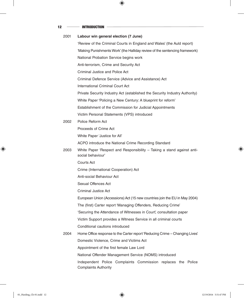| 2001 | Labour win general election (7 June)                                                        |
|------|---------------------------------------------------------------------------------------------|
|      | 'Review of the Criminal Courts in England and Wales' (the Auld report)                      |
|      | 'Making Punishments Work' (the Halliday review of the sentencing framework)                 |
|      | National Probation Service begins work                                                      |
|      | Anti-terrorism, Crime and Security Act                                                      |
|      | Criminal Justice and Police Act                                                             |
|      | Criminal Defence Service (Advice and Assistance) Act                                        |
|      | <b>International Criminal Court Act</b>                                                     |
|      | Private Security Industry Act (established the Security Industry Authority)                 |
|      | White Paper 'Policing a New Century: A blueprint for reform'                                |
|      | Establishment of the Commission for Judicial Appointments                                   |
|      | Victim Personal Statements (VPS) introduced                                                 |
| 2002 | Police Reform Act                                                                           |
|      | Proceeds of Crime Act                                                                       |
|      | White Paper 'Justice for All'                                                               |
|      | ACPO introduce the National Crime Recording Standard                                        |
| 2003 | White Paper 'Respect and Responsibility - Taking a stand against anti-<br>social behaviour' |
|      | Courts Act                                                                                  |
|      | Crime (International Cooperation) Act                                                       |
|      | Anti-social Behaviour Act                                                                   |
|      | Sexual Offences Act                                                                         |
|      | Criminal Justice Act                                                                        |
|      | European Union (Accessions) Act (15 new countries join the EU in May 2004)                  |
|      | The (first) Carter report 'Managing Offenders, Reducing Crime'                              |
|      | 'Securing the Attendance of Witnesses in Court', consultation paper                         |
|      | Victim Support provides a Witness Service in all criminal courts                            |
|      | Conditional cautions introduced                                                             |
| 2004 | Home Office response to the Carter report 'Reducing Crime - Changing Lives'                 |
|      | Domestic Violence, Crime and Victims Act                                                    |
|      | Appointment of the first female Law Lord                                                    |
|      | National Offender Management Service (NOMS) introduced                                      |
|      | Independent Police Complaints Commission replaces the Police<br><b>Complaints Authority</b> |

<u> 1980 - Johann Barbara, martxa al</u>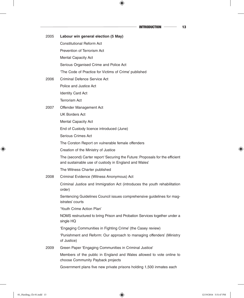2005 **Labour win general election (5 May)** Constitutional Reform Act Prevention of Terrorism Act Mental Capacity Act Serious Organised Crime and Police Act 'The Code of Practice for Victims of Crime' published 2006 Criminal Defence Service Act Police and Justice Act Identity Card Act Terrorism Act 2007 Offender Management Act UK Borders Act Mental Capacity Act End of Custody licence introduced (June) Serious Crimes Act The Corston Report on vulnerable female offenders Creation of the Ministry of Justice The (second) Carter report 'Securing the Future: Proposals for the efficient and sustainable use of custody in England and Wales' The Witness Charter published 2008 Criminal Evidence (Witness Anonymous) Act Criminal Justice and Immigration Act (introduces the youth rehabilitation order) Sentencing Guidelines Council issues comprehensive guidelines for magistrates' courts 'Youth Crime Action Plan' NOMS restructured to bring Prison and Probation Services together under a single HQ 'Engaging Communities in Fighting Crime' (the Casey review) 'Punishment and Reform: Our approach to managing offenders' (Ministry of Justice) 2009 Green Paper 'Engaging Communities in Criminal Justice' Members of the public in England and Wales allowed to vote online to choose Community Payback projects

Government plans five new private prisons holding 1,500 inmates each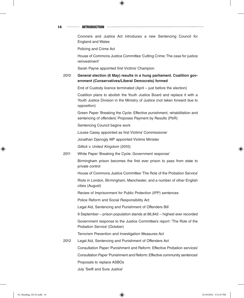Coroners and Justice Act introduces a new Sentencing Council for England and Wales

Policing and Crime Act

House of Commons Justice Committee 'Cutting Crime: The case for justice reinvestment'

Sarah Payne appointed first Victims' Champion

#### 2010 **General election (6 May) results in a hung parliament. Coalition government (Conservatives/Liberal Democrats) formed**

End of Custody licence terminated (April – just before the election)

Coalition plans to abolish the Youth Justice Board and replace it with a Youth Justice Division in the Ministry of Justice (not taken forward due to opposition)

Green Paper 'Breaking the Cycle: Effective punishment, rehabilitation and sentencing of offenders'. Proposes Payment by Results (PbR)

Sentencing Council begins work

Louise Casey appointed as first Victims' Commissioner

Jonathan Djanogly MP appointed Victims Minister

*Gillick* v. *United Kingdom* (2010)

2011 White Paper 'Breaking the Cycle: Government response'

Birmingham prison becomes the first ever prison to pass from state to private control

House of Commons Justice Committee 'The Role of the Probation Service'

Riots in London, Birmingham, Manchester, and a number of other English cities (August)

Review of Imprisonment for Public Protection (IPP) sentences

Police Reform and Social Responsibility Act

Legal Aid, Sentencing and Punishment of Offenders Bill

9 September – prison population stands at 86,842 – highest ever recorded

Government response to the Justice Committee's report: 'The Role of the Probation Service' (October)

Terrorism Prevention and Investigation Measures Act

2012 Legal Aid, Sentencing and Punishment of Offenders Act

Consultation Paper 'Punishment and Reform: Effective Probation services'

Consultation Paper 'Punishment and Reform: Effective community sentences'

Proposals to replace ASBOs

July 'Swift and Sure Justice'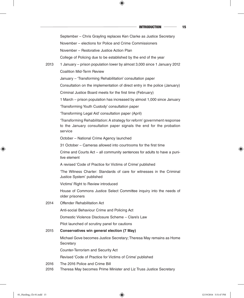September – Chris Grayling replaces Ken Clarke as Justice Secretary

November – elections for Police and Crime Commissioners

November – Restorative Justice Action Plan

College of Policing due to be established by the end of the year

2013 1 January – prison population lower by almost 3,000 since 1 January 2012 Coalition Mid-Term Review

January – 'Transforming Rehabilitation' consultation paper

Consultation on the implementation of direct entry in the police (January)

Criminal Justice Board meets for the first time (February)

1 March – prison population has increased by almost 1,000 since January

'Transforming Youth Custody' consultation paper

'Transforming Legal Aid' consultation paper (April)

'Transforming Rehabilitation: A strategy for reform' government response to the January consultation paper signals the end for the probation service

October – National Crime Agency launched

31 October – Cameras allowed into courtrooms for the first time

Crime and Courts Act – all community sentences for adults to have a punitive element

A revised 'Code of Practice for Victims of Crime' published

'The Witness Charter: Standards of care for witnesses in the Criminal Justice System' published

Victims' Right to Review introduced

House of Commons Justice Select Committee inquiry into the needs of older prisoners

2014 Offender Rehabilitation Act

Anti-social Behaviour Crime and Policing Act

Domestic Violence Disclosure Scheme – Clare's Law

Pilot launched of scrutiny panel for cautions

#### 2015 **Conservatives win general election (7 May)**

Michael Gove becomes Justice Secretary; Theresa May remains as Home **Secretary** 

Counter-Terrorism and Security Act

Revised 'Code of Practice for Victims of Crime' published

- 2016 The 2016 Police and Crime Bill
- 2016 Theresa May becomes Prime Minister and Liz Truss Justice Secretary